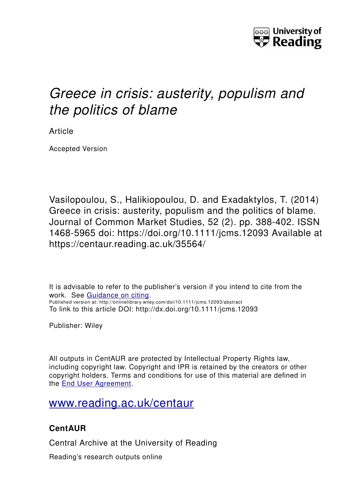

# *Greece in crisis: austerity, populism and the politics of blame*

Article

Accepted Version

Vasilopoulou, S., Halikiopoulou, D. and Exadaktylos, T. (2014) Greece in crisis: austerity, populism and the politics of blame. Journal of Common Market Studies, 52 (2). pp. 388-402. ISSN 1468-5965 doi: https://doi.org/10.1111/jcms.12093 Available at https://centaur.reading.ac.uk/35564/

It is advisable to refer to the publisher's version if you intend to cite from the work. See [Guidance on citing.](http://centaur.reading.ac.uk/71187/10/CentAUR%20citing%20guide.pdf) Published version at: http://onlinelibrary.wiley.com/doi/10.1111/jcms.12093/abstract To link to this article DOI: http://dx.doi.org/10.1111/jcms.12093

Publisher: Wiley

All outputs in CentAUR are protected by Intellectual Property Rights law, including copyright law. Copyright and IPR is retained by the creators or other copyright holders. Terms and conditions for use of this material are defined in the [End User Agreement.](http://centaur.reading.ac.uk/licence)

[www.reading.ac.uk/centaur](http://www.reading.ac.uk/centaur)

# **CentAUR**

Central Archive at the University of Reading

Reading's research outputs online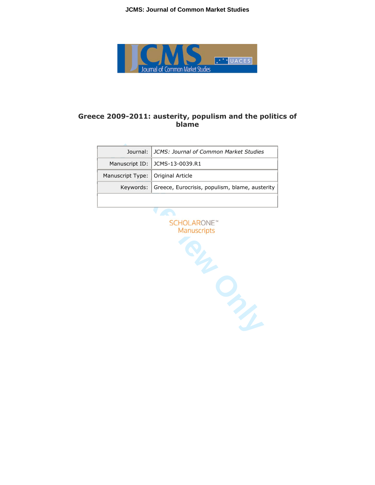**JCMS: Journal of Common Market Studies**



# **Greece 2009-2011: austerity, populism and the politics of blame**

|                                   | Journal: JCMS: Journal of Common Market Studies          |
|-----------------------------------|----------------------------------------------------------|
|                                   | Manuscript ID: JCMS-13-0039.R1                           |
| Manuscript Type: Original Article |                                                          |
|                                   | Keywords: Greece, Eurocrisis, populism, blame, austerity |
|                                   |                                                          |

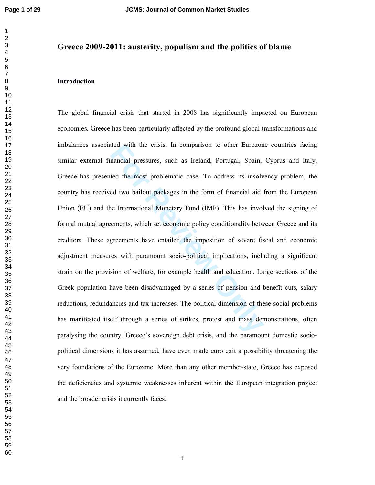# **Greece 2009-2011: austerity, populism and the politics of blame**

### **Introduction**

ted with the crisis. In comparison to other Eurozon<br>nancial pressures, such as Ireland, Portugal, Spain,<br>ted the most problematic case. To address its insolved<br>two bailout packages in the form of financial aid<br>ne Internati The global financial crisis that started in 2008 has significantly impacted on European economies. Greece has been particularly affected by the profound global transformations and imbalances associated with the crisis. In comparison to other Eurozone countries facing similar external financial pressures, such as Ireland, Portugal, Spain, Cyprus and Italy, Greece has presented the most problematic case. To address its insolvency problem, the country has received two bailout packages in the form of financial aid from the European Union (EU) and the International Monetary Fund (IMF). This has involved the signing of formal mutual agreements, which set economic policy conditionality between Greece and its creditors. These agreements have entailed the imposition of severe fiscal and economic adjustment measures with paramount socio-political implications, including a significant strain on the provision of welfare, for example health and education. Large sections of the Greek population have been disadvantaged by a series of pension and benefit cuts, salary reductions, redundancies and tax increases. The political dimension of these social problems has manifested itself through a series of strikes, protest and mass demonstrations, often paralysing the country. Greece's sovereign debt crisis, and the paramount domestic sociopolitical dimensions it has assumed, have even made euro exit a possibility threatening the very foundations of the Eurozone. More than any other member-state, Greece has exposed the deficiencies and systemic weaknesses inherent within the European integration project and the broader crisis it currently faces.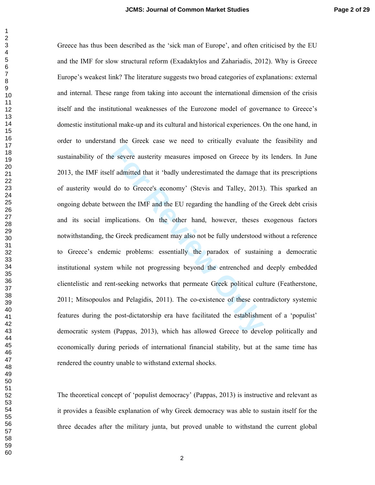if admitted that it 'badly underestimated the damage the severe austerity measures imposed on Greece by if admitted that it 'badly underestimated the damage the dotic Greece's economy' (Stevis and Talley, 2013) ween the IM Greece has thus been described as the 'sick man of Europe', and often criticised by the EU and the IMF for slow structural reform (Exadaktylos and Zahariadis, 2012). Why is Greece Europe's weakest link? The literature suggests two broad categories of explanations: external and internal. These range from taking into account the international dimension of the crisis itself and the institutional weaknesses of the Eurozone model of governance to Greece's domestic institutional make-up and its cultural and historical experiences. On the one hand, in order to understand the Greek case we need to critically evaluate the feasibility and sustainability of the severe austerity measures imposed on Greece by its lenders. In June 2013, the IMF itself admitted that it 'badly underestimated the damage that its prescriptions of austerity would do to Greece's economy' (Stevis and Talley, 2013). This sparked an ongoing debate between the IMF and the EU regarding the handling of the Greek debt crisis and its social implications. On the other hand, however, theses exogenous factors notwithstanding, the Greek predicament may also not be fully understood without a reference to Greece's endemic problems: essentially the paradox of sustaining a democratic institutional system while not progressing beyond the entrenched and deeply embedded clientelistic and rent-seeking networks that permeate Greek political culture (Featherstone, 2011; Mitsopoulos and Pelagidis, 2011). The co-existence of these contradictory systemic features during the post-dictatorship era have facilitated the establishment of a 'populist' democratic system (Pappas, 2013), which has allowed Greece to develop politically and economically during periods of international financial stability, but at the same time has rendered the country unable to withstand external shocks.

The theoretical concept of 'populist democracy' (Pappas, 2013) is instructive and relevant as it provides a feasible explanation of why Greek democracy was able to sustain itself for the three decades after the military junta, but proved unable to withstand the current global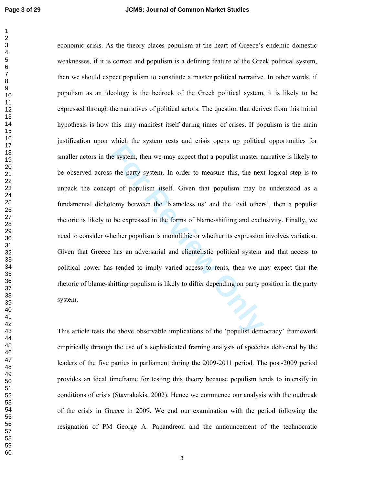**For All All All Everyon System.** In order to measure this, the next of populism itself. Given that populism may be tomy between the 'blameless us' and the 'evil other be expressed in the forms of blame-shifting and exclud economic crisis. As the theory places populism at the heart of Greece's endemic domestic weaknesses, if it is correct and populism is a defining feature of the Greek political system, then we should expect populism to constitute a master political narrative. In other words, if populism as an ideology is the bedrock of the Greek political system, it is likely to be expressed through the narratives of political actors. The question that derives from this initial hypothesis is how this may manifest itself during times of crises. If populism is the main justification upon which the system rests and crisis opens up political opportunities for smaller actors in the system, then we may expect that a populist master narrative is likely to be observed across the party system. In order to measure this, the next logical step is to unpack the concept of populism itself. Given that populism may be understood as a fundamental dichotomy between the 'blameless us' and the 'evil others', then a populist rhetoric is likely to be expressed in the forms of blame-shifting and exclusivity. Finally, we need to consider whether populism is monolithic or whether its expression involves variation. Given that Greece has an adversarial and clientelistic political system and that access to political power has tended to imply varied access to rents, then we may expect that the rhetoric of blame-shifting populism is likely to differ depending on party position in the party system.

This article tests the above observable implications of the 'populist democracy' framework empirically through the use of a sophisticated framing analysis of speeches delivered by the leaders of the five parties in parliament during the 2009-2011 period. The post-2009 period provides an ideal timeframe for testing this theory because populism tends to intensify in conditions of crisis (Stavrakakis, 2002). Hence we commence our analysis with the outbreak of the crisis in Greece in 2009. We end our examination with the period following the resignation of PM George A. Papandreou and the announcement of the technocratic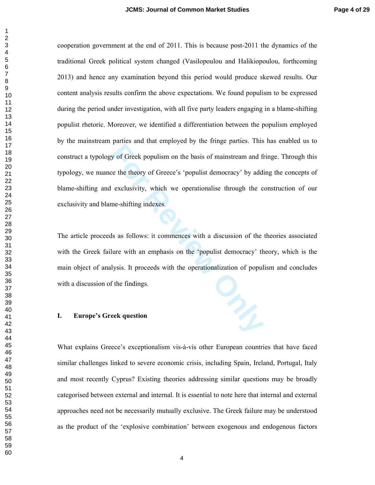**For All the Set of Set of Manufacture COV**<br> **For All the Cover Cover Cover Cover Cover Cover Cover Cover Cover Cover Cover Cover Cover Cover Cover Cover Cover Cover Cover Cover Cover Cover Cover Cover Cover Cover Cover Co** cooperation government at the end of 2011. This is because post-2011 the dynamics of the traditional Greek political system changed (Vasilopoulou and Halikiopoulou, forthcoming 2013) and hence any examination beyond this period would produce skewed results. Our content analysis results confirm the above expectations. We found populism to be expressed during the period under investigation, with all five party leaders engaging in a blame-shifting populist rhetoric. Moreover, we identified a differentiation between the populism employed by the mainstream parties and that employed by the fringe parties. This has enabled us to construct a typology of Greek populism on the basis of mainstream and fringe. Through this typology, we nuance the theory of Greece's 'populist democracy' by adding the concepts of blame-shifting and exclusivity, which we operationalise through the construction of our exclusivity and blame-shifting indexes.

The article proceeds as follows: it commences with a discussion of the theories associated with the Greek failure with an emphasis on the 'populist democracy' theory, which is the main object of analysis. It proceeds with the operationalization of populism and concludes with a discussion of the findings.

#### **I. Europe's Greek question**

What explains Greece's exceptionalism vis-à-vis other European countries that have faced similar challenges linked to severe economic crisis, including Spain, Ireland, Portugal, Italy and most recently Cyprus? Existing theories addressing similar questions may be broadly categorised between external and internal. It is essential to note here that internal and external approaches need not be necessarily mutually exclusive. The Greek failure may be understood as the product of the 'explosive combination' between exogenous and endogenous factors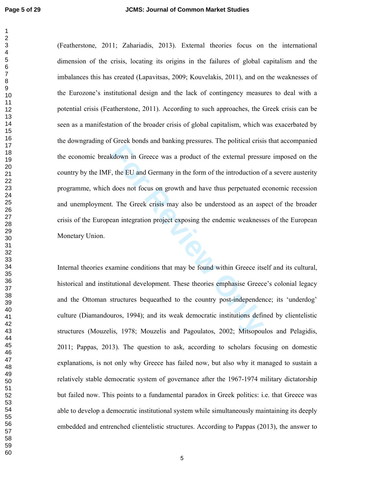**Example 18 Example 18 External pressums**; the EU and Germany in the form of the introduction c<br>does not focus on growth and have thus perpetuated e<br>t. The Greek crisis may also be understood as an asp<br>ean integration proj (Featherstone, 2011; Zahariadis, 2013). External theories focus on the international dimension of the crisis, locating its origins in the failures of global capitalism and the imbalances this has created (Lapavitsas, 2009; Kouvelakis, 2011), and on the weaknesses of the Eurozone's institutional design and the lack of contingency measures to deal with a potential crisis (Featherstone, 2011). According to such approaches, the Greek crisis can be seen as a manifestation of the broader crisis of global capitalism, which was exacerbated by the downgrading of Greek bonds and banking pressures. The political crisis that accompanied the economic breakdown in Greece was a product of the external pressure imposed on the country by the IMF, the EU and Germany in the form of the introduction of a severe austerity programme, which does not focus on growth and have thus perpetuated economic recession and unemployment. The Greek crisis may also be understood as an aspect of the broader crisis of the European integration project exposing the endemic weaknesses of the European Monetary Union.

Internal theories examine conditions that may be found within Greece itself and its cultural, historical and institutional development. These theories emphasise Greece's colonial legacy and the Ottoman structures bequeathed to the country post-independence; its 'underdog' culture (Diamandouros, 1994); and its weak democratic institutions defined by clientelistic structures (Mouzelis, 1978; Mouzelis and Pagoulatos, 2002; Mitsopoulos and Pelagidis, 2011; Pappas, 2013). The question to ask, according to scholars focusing on domestic explanations, is not only why Greece has failed now, but also why it managed to sustain a relatively stable democratic system of governance after the 1967-1974 military dictatorship but failed now. This points to a fundamental paradox in Greek politics: i.e. that Greece was able to develop a democratic institutional system while simultaneously maintaining its deeply embedded and entrenched clientelistic structures. According to Pappas (2013), the answer to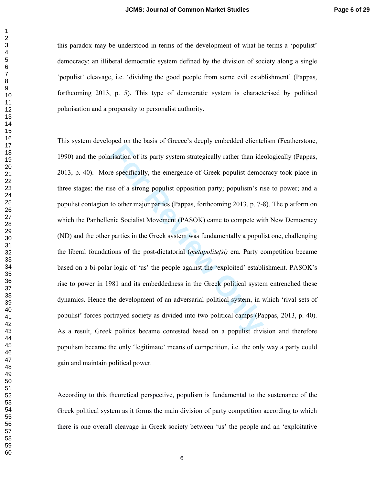this paradox may be understood in terms of the development of what he terms a 'populist' democracy: an illiberal democratic system defined by the division of society along a single 'populist' cleavage, i.e. 'dividing the good people from some evil establishment' (Pappas, forthcoming 2013, p. 5). This type of democratic system is characterised by political polarisation and a propensity to personalist authority.

**Fisation of its party system strategically rather than ide**<br>**Exercise Specifically, the emergence of Greek populist demotes of a strong populist opposition party; populism's ri<br>to other major parties (Pappas, forthcoming** This system developed on the basis of Greece's deeply embedded clientelism (Featherstone, 1990) and the polarisation of its party system strategically rather than ideologically (Pappas, 2013, p. 40). More specifically, the emergence of Greek populist democracy took place in three stages: the rise of a strong populist opposition party; populism's rise to power; and a populist contagion to other major parties (Pappas, forthcoming 2013, p. 7-8). The platform on which the Panhellenic Socialist Movement (PASOK) came to compete with New Democracy (ND) and the other parties in the Greek system was fundamentally a populist one, challenging the liberal foundations of the post-dictatorial (*metapolitefsi)* era. Party competition became based on a bi-polar logic of 'us' the people against the 'exploited' establishment. PASOK's rise to power in 1981 and its embeddedness in the Greek political system entrenched these dynamics. Hence the development of an adversarial political system, in which 'rival sets of populist' forces portrayed society as divided into two political camps (Pappas, 2013, p. 40). As a result, Greek politics became contested based on a populist division and therefore populism became the only 'legitimate' means of competition, i.e. the only way a party could gain and maintain political power.

According to this theoretical perspective, populism is fundamental to the sustenance of the Greek political system as it forms the main division of party competition according to which there is one overall cleavage in Greek society between 'us' the people and an 'exploitative

 $\mathbf{1}$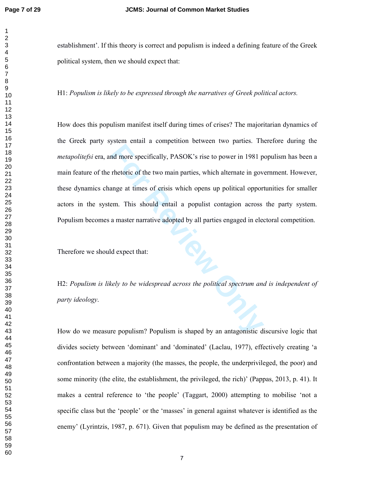$\mathbf{1}$  $\overline{2}$ 

establishment'. If this theory is correct and populism is indeed a defining feature of the Greek political system, then we should expect that:

#### H1: *Populism is likely to be expressed through the narratives of Greek political actors.*

**For All Alternation**<br> **For All Alternate in gover and the two main parties, which alternate in gover<br>
ange at times of crisis which opens up political oppor<br>
<b>For Review OF CONLY ALTACK CONCE ALTACK**<br> **For Property All Pa** How does this populism manifest itself during times of crises? The majoritarian dynamics of the Greek party system entail a competition between two parties. Therefore during the *metapolitefsi* era, and more specifically, PASOK's rise to power in 1981 populism has been a main feature of the rhetoric of the two main parties, which alternate in government. However, these dynamics change at times of crisis which opens up political opportunities for smaller actors in the system. This should entail a populist contagion across the party system. Populism becomes a master narrative adopted by all parties engaged in electoral competition.

Therefore we should expect that:

H2: *Populism is likely to be widespread across the political spectrum and is independent of party ideology*.

How do we measure populism? Populism is shaped by an antagonistic discursive logic that divides society between 'dominant' and 'dominated' (Laclau, 1977), effectively creating 'a confrontation between a majority (the masses, the people, the underprivileged, the poor) and some minority (the elite, the establishment, the privileged, the rich)' (Pappas, 2013, p. 41). It makes a central reference to 'the people' (Taggart, 2000) attempting to mobilise 'not a specific class but the 'people' or the 'masses' in general against whatever is identified as the enemy' (Lyrintzis, 1987, p. 671). Given that populism may be defined as the presentation of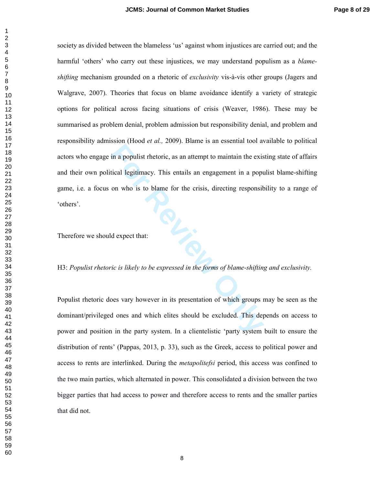**For Review Only** society as divided between the blameless 'us' against whom injustices are carried out; and the harmful 'others' who carry out these injustices, we may understand populism as a *blameshifting* mechanism grounded on a rhetoric of *exclusivity* vis-à-vis other groups (Jagers and Walgrave, 2007). Theories that focus on blame avoidance identify a variety of strategic options for political across facing situations of crisis (Weaver, 1986). These may be summarised as problem denial, problem admission but responsibility denial, and problem and responsibility admission (Hood *et al.,* 2009). Blame is an essential tool available to political actors who engage in a populist rhetoric, as an attempt to maintain the existing state of affairs and their own political legitimacy. This entails an engagement in a populist blame-shifting game, i.e. a focus on who is to blame for the crisis, directing responsibility to a range of 'others'.

Therefore we should expect that:

### H3: *Populist rhetoric is likely to be expressed in the forms of blame-shifting and exclusivity.*

Populist rhetoric does vary however in its presentation of which groups may be seen as the dominant/privileged ones and which elites should be excluded. This depends on access to power and position in the party system. In a clientelistic 'party system built to ensure the distribution of rents' (Pappas, 2013, p. 33), such as the Greek, access to political power and access to rents are interlinked. During the *metapolitefsi* period, this access was confined to the two main parties, which alternated in power. This consolidated a division between the two bigger parties that had access to power and therefore access to rents and the smaller parties that did not.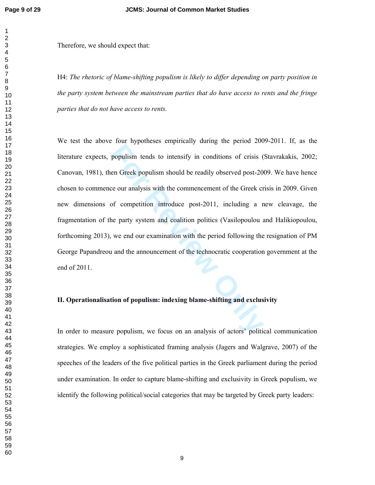Therefore, we should expect that:

H4: *The rhetoric of blame-shifting populism is likely to differ depending on party position in the party system between the mainstream parties that do have access to rents and the fringe parties that do not have access to rents.*

**Formularity** and the intensity in conditions of crisis (<br> **EXECUTE:** The Greek populism should be readily observed post-20<br> **FORMAL EXECUTE:** The commencement of the Greek cr<br>
of competition introduce post-2011, including We test the above four hypotheses empirically during the period 2009-2011. If, as the literature expects, populism tends to intensify in conditions of crisis (Stavrakakis, 2002; Canovan, 1981), then Greek populism should be readily observed post-2009. We have hence chosen to commence our analysis with the commencement of the Greek crisis in 2009. Given new dimensions of competition introduce post-2011, including a new cleavage, the fragmentation of the party system and coalition politics (Vasilopoulou and Halikiopoulou, forthcoming 2013), we end our examination with the period following the resignation of PM George Papandreou and the announcement of the technocratic cooperation government at the end of 2011.

# **II. Operationalisation of populism: indexing blame-shifting and exclusivity**

In order to measure populism, we focus on an analysis of actors' political communication strategies. We employ a sophisticated framing analysis (Jagers and Walgrave, 2007) of the speeches of the leaders of the five political parties in the Greek parliament during the period under examination. In order to capture blame-shifting and exclusivity in Greek populism, we identify the following political/social categories that may be targeted by Greek party leaders: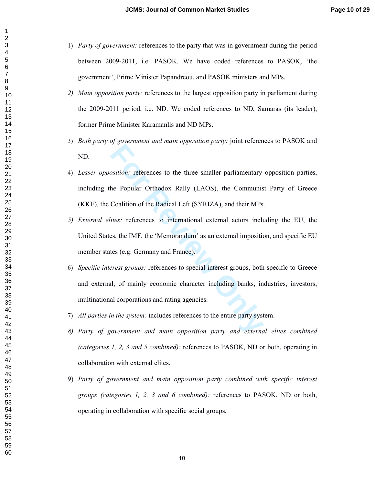- 1) *Party of government:* references to the party that was in government during the period between 2009-2011, i.e. PASOK. We have coded references to PASOK, 'the government', Prime Minister Papandreou, and PASOK ministers and MPs.
- *2) Main opposition party:* references to the largest opposition party in parliament during the 2009-2011 period, i.e. ND. We coded references to ND, Samaras (its leader), former Prime Minister Karamanlis and ND MPs.
- 3) *Both party of government and main opposition party:* joint references to PASOK and ND.
- **Formally System:** The Popular Orthodox Rally (LAOS), the Communis<br>Coalition of the Radical Left (SYRIZA), and their MPs<br>*ites:* references to international external actors incluse<br>s, the IMF, the 'Memorandum' as an extern 4) *Lesser opposition:* references to the three smaller parliamentary opposition parties, including the Popular Orthodox Rally (LAOS), the Communist Party of Greece (KKE), the Coalition of the Radical Left (SYRIZA), and their MPs.
- *5) External elites:* references to international external actors including the EU, the United States, the IMF, the 'Memorandum' as an external imposition, and specific EU member states (e.g. Germany and France).
- 6) *Specific interest groups:* references to special interest groups, both specific to Greece and external, of mainly economic character including banks, industries, investors, multinational corporations and rating agencies.
- 7) *All parties in the system:* includes references to the entire party system.
- *8) Party of government and main opposition party and external elites combined (categories 1, 2, 3 and 5 combined):* references to PASOK, ND or both, operating in collaboration with external elites.
- 9) *Party of government and main opposition party combined with specific interest groups (categories 1, 2, 3 and 6 combined):* references to PASOK, ND or both, operating in collaboration with specific social groups.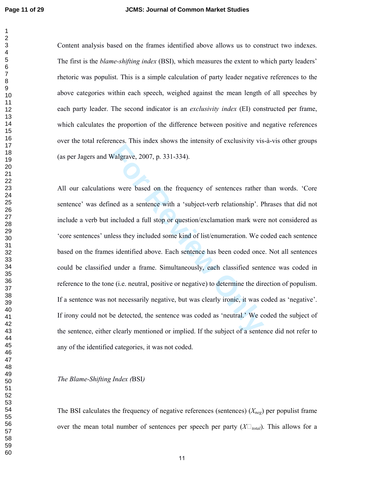Content analysis based on the frames identified above allows us to construct two indexes. The first is the *blame-shifting index* (BSI), which measures the extent to which party leaders' rhetoric was populist. This is a simple calculation of party leader negative references to the above categories within each speech, weighed against the mean length of all speeches by each party leader. The second indicator is an *exclusivity index* (EI) constructed per frame, which calculates the proportion of the difference between positive and negative references over the total references. This index shows the intensity of exclusivity vis-à-vis other groups (as per Jagers and Walgrave, 2007, p. 331-334).

Walgrave, 2007, p. 331-334).<br>
Ins were based on the frequency of sentences rather<br>
Included a full stop or question/exclamation mark were<br>
less they included some kind of list/enumeration. We consider<br>
Included a full stop All our calculations were based on the frequency of sentences rather than words. 'Core sentence' was defined as a sentence with a 'subject-verb relationship'. Phrases that did not include a verb but included a full stop or question/exclamation mark were not considered as 'core sentences' unless they included some kind of list/enumeration. We coded each sentence based on the frames identified above. Each sentence has been coded once. Not all sentences could be classified under a frame. Simultaneously, each classified sentence was coded in reference to the tone (i.e. neutral, positive or negative) to determine the direction of populism. If a sentence was not necessarily negative, but was clearly ironic, it was coded as 'negative'. If irony could not be detected, the sentence was coded as 'neutral.' We coded the subject of the sentence, either clearly mentioned or implied. If the subject of a sentence did not refer to any of the identified categories, it was not coded.

*The Blame-Shifting Index (*BSI*)* 

The BSI calculates the frequency of negative references (sentences) (*Xneg*) per populist frame over the mean total number of sentences per speech per party (*X0total*). This allows for a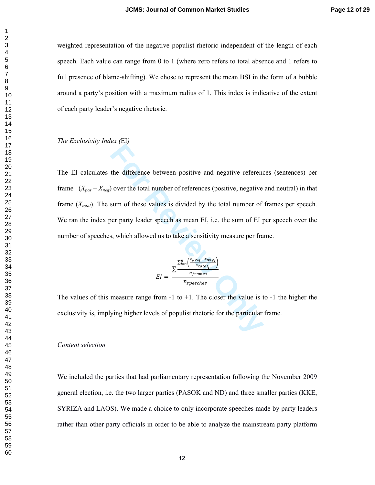weighted representation of the negative populist rhetoric independent of the length of each speech. Each value can range from 0 to 1 (where zero refers to total absence and 1 refers to full presence of blame-shifting). We chose to represent the mean BSI in the form of a bubble around a party's position with a maximum radius of 1. This index is indicative of the extent of each party leader's negative rhetoric.

*The Exclusivity Index (*EI*)*

the difference between positive and negative reference<br>
over the total number of references (positive, negative<br>
sum of these values is divided by the total number of<br>
ber party leader speech as mean EI, i.e. the sum of E The EI calculates the difference between positive and negative references (sentences) per frame  $(X_{pos} - X_{neg})$  over the total number of references (positive, negative and neutral) in that frame (*Xtotal*). The sum of these values is divided by the total number of frames per speech. We ran the index per party leader speech as mean EI, i.e. the sum of EI per speech over the number of speeches, which allowed us to take a sensitivity measure per frame.

$$
EI = \frac{\sum_{i=1}^{n} \left( \frac{x_{pos_i} - x_{neg_i}}{x_{total_i}} \right)}{n_{species}}
$$

The values of this measure range from  $-1$  to  $+1$ . The closer the value is to  $-1$  the higher the exclusivity is, implying higher levels of populist rhetoric for the particular frame.

## *Content selection*

We included the parties that had parliamentary representation following the November 2009 general election, i.e. the two larger parties (PASOK and ND) and three smaller parties (KKE, SYRIZA and LAOS). We made a choice to only incorporate speeches made by party leaders rather than other party officials in order to be able to analyze the mainstream party platform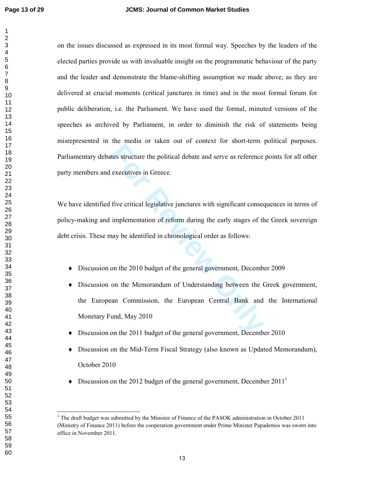$\mathbf{1}$  $\overline{2}$ 

L

on the issues discussed as expressed in its most formal way. Speeches by the leaders of the elected parties provide us with invaluable insight on the programmatic behaviour of the party and the leader and demonstrate the blame-shifting assumption we made above, as they are delivered at crucial moments (critical junctures in time) and in the most formal forum for public deliberation, i.e. the Parliament. We have used the formal, minuted versions of the speeches as archived by Parliament, in order to diminish the risk of statements being misrepresented in the media or taken out of context for short-term political purposes. Parliamentary debates structure the political debate and serve as reference points for all other party members and executives in Greece.

the structure the political debate and serve as reference<br>executives in Greece.<br>five critical legislative junctures with significant conset<br>implementation of reform during the early stages of th<br>hay be identified in chrono We have identified five critical legislative junctures with significant consequences in terms of policy-making and implementation of reform during the early stages of the Greek sovereign debt crisis. These may be identified in chronological order as follows:

- ♦ Discussion on the 2010 budget of the general government, December 2009
- ♦ Discussion on the Memorandum of Understanding between the Greek government, the European Commission, the European Central Bank and the International Monetary Fund, May 2010
- ♦ Discussion on the 2011 budget of the general government, December 2010
- ♦ Discussion on the Mid-Term Fiscal Strategy (also known as Updated Memorandum), October 2010
- Discussion on the 2012 budget of the general government, December 2011<sup>1</sup>

<sup>&</sup>lt;sup>1</sup> The draft budget was submitted by the Minister of Finance of the PASOK administration in October 2011 (Ministry of Finance 2011) before the cooperation government under Prime Minister Papademos was sworn into office in November 2011.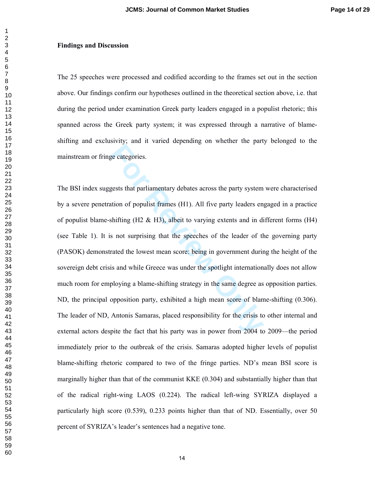#### **Findings and Discussion**

The 25 speeches were processed and codified according to the frames set out in the section above. Our findings confirm our hypotheses outlined in the theoretical section above, i.e. that during the period under examination Greek party leaders engaged in a populist rhetoric; this spanned across the Greek party system; it was expressed through a narrative of blameshifting and exclusivity; and it varied depending on whether the party belonged to the mainstream or fringe categories.

ree categories.<br> **For Review System**<br> **For Review System**<br> **For Populist frames (H1).** All five party leaders en<br>
shifting (H2 & H3), albeit to varying extents and in di<br>
s not surprising that the speeches of the leader of The BSI index suggests that parliamentary debates across the party system were characterised by a severe penetration of populist frames (H1). All five party leaders engaged in a practice of populist blame-shifting (H2 & H3), albeit to varying extents and in different forms (H4) (see Table 1). It is not surprising that the speeches of the leader of the governing party (PASOK) demonstrated the lowest mean score: being in government during the height of the sovereign debt crisis and while Greece was under the spotlight internationally does not allow much room for employing a blame-shifting strategy in the same degree as opposition parties. ND, the principal opposition party, exhibited a high mean score of blame-shifting (0.306). The leader of ND, Antonis Samaras, placed responsibility for the crisis to other internal and external actors despite the fact that his party was in power from 2004 to 2009—the period immediately prior to the outbreak of the crisis. Samaras adopted higher levels of populist blame-shifting rhetoric compared to two of the fringe parties. ND's mean BSI score is marginally higher than that of the communist KKE (0.304) and substantially higher than that of the radical right-wing LAOS (0.224). The radical left-wing SYRIZA displayed a particularly high score (0.539), 0.233 points higher than that of ND. Essentially, over 50 percent of SYRIZA's leader's sentences had a negative tone.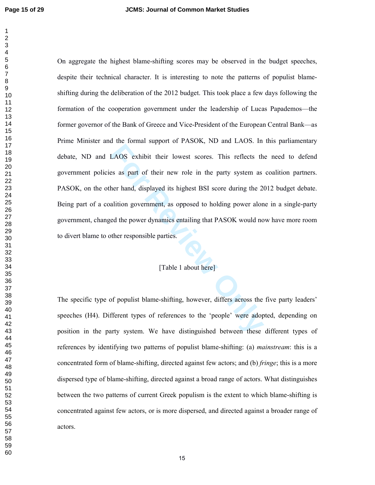**For Review Only** On aggregate the highest blame-shifting scores may be observed in the budget speeches, despite their technical character. It is interesting to note the patterns of populist blameshifting during the deliberation of the 2012 budget. This took place a few days following the formation of the cooperation government under the leadership of Lucas Papademos—the former governor of the Bank of Greece and Vice-President of the European Central Bank—as Prime Minister and the formal support of PASOK, ND and LAOS. In this parliamentary debate, ND and LAOS exhibit their lowest scores. This reflects the need to defend government policies as part of their new role in the party system as coalition partners. PASOK, on the other hand, displayed its highest BSI score during the 2012 budget debate. Being part of a coalition government, as opposed to holding power alone in a single-party government, changed the power dynamics entailing that PASOK would now have more room to divert blame to other responsible parties.

# [Table 1 about here]

The specific type of populist blame-shifting, however, differs across the five party leaders' speeches (H4). Different types of references to the 'people' were adopted, depending on position in the party system. We have distinguished between these different types of references by identifying two patterns of populist blame-shifting: (a) *mainstream*: this is a concentrated form of blame-shifting, directed against few actors; and (b) *fringe*; this is a more dispersed type of blame-shifting, directed against a broad range of actors. What distinguishes between the two patterns of current Greek populism is the extent to which blame-shifting is concentrated against few actors, or is more dispersed, and directed against a broader range of actors.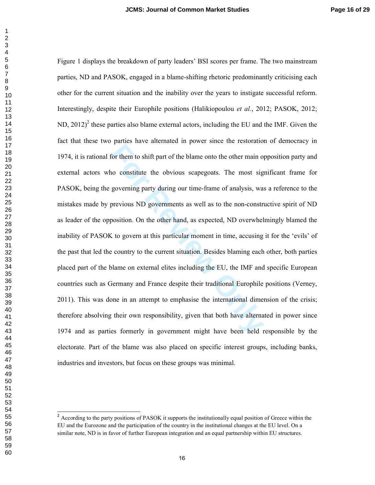For them to shift part of the blame onto the other main one constitute the obvious scapegoats. The most sig governing party during our time-frame of analysis, wa previous ND governments as well as to the non-constr positio Figure 1 displays the breakdown of party leaders' BSI scores per frame. The two mainstream parties, ND and PASOK, engaged in a blame-shifting rhetoric predominantly criticising each other for the current situation and the inability over the years to instigate successful reform. Interestingly, despite their Europhile positions (Halikiopoulou *et al.*, 2012; PASOK, 2012; ND, <sup>2</sup> these parties also blame external actors, including the EU and the IMF. Given the fact that these two parties have alternated in power since the restoration of democracy in 1974, it is rational for them to shift part of the blame onto the other main opposition party and external actors who constitute the obvious scapegoats. The most significant frame for PASOK, being the governing party during our time-frame of analysis, was a reference to the mistakes made by previous ND governments as well as to the non-constructive spirit of ND as leader of the opposition. On the other hand, as expected, ND overwhelmingly blamed the inability of PASOK to govern at this particular moment in time, accusing it for the 'evils' of the past that led the country to the current situation. Besides blaming each other, both parties placed part of the blame on external elites including the EU, the IMF and specific European countries such as Germany and France despite their traditional Europhile positions (Verney, 2011). This was done in an attempt to emphasise the international dimension of the crisis; therefore absolving their own responsibility, given that both have alternated in power since 1974 and as parties formerly in government might have been held responsible by the electorate. Part of the blame was also placed on specific interest groups, including banks, industries and investors, but focus on these groups was minimal.

<sup>&</sup>lt;sup>2</sup> According to the party positions of PASOK it supports the institutionally equal position of Greece within the EU and the Eurozone and the participation of the country in the institutional changes at the EU level. On a similar note, ND is in favor of further European integration and an equal partnership within EU structures.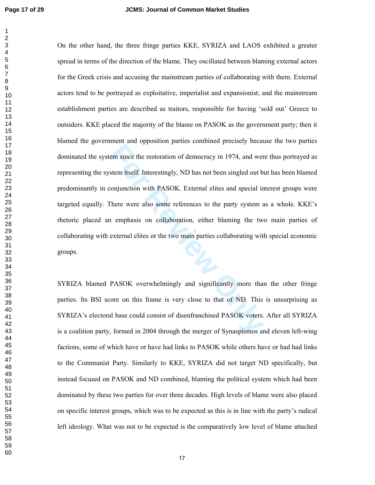For Since the restoration of democracy in 1974, and wert<br>stem itself. Interestingly, ND has not been singled out b<br>onjunction with PASOK. External elites and special in<br>there were also some references to the party system a On the other hand, the three fringe parties KKE, SYRIZA and LAOS exhibited a greater spread in terms of the direction of the blame. They oscillated between blaming external actors for the Greek crisis and accusing the mainstream parties of collaborating with them. External actors tend to be portrayed as exploitative, imperialist and expansionist; and the mainstream establishment parties are described as traitors, responsible for having 'sold out' Greece to outsiders. KKE placed the majority of the blame on PASOK as the government party; then it blamed the government and opposition parties combined precisely because the two parties dominated the system since the restoration of democracy in 1974, and were thus portrayed as representing the system itself. Interestingly, ND has not been singled out but has been blamed predominantly in conjunction with PASOK. External elites and special interest groups were targeted equally. There were also some references to the party system as a whole. KKE's rhetoric placed an emphasis on collaboration, either blaming the two main parties of collaborating with external elites or the two main parties collaborating with special economic groups.

SYRIZA blamed PASOK overwhelmingly and significantly more than the other fringe parties. Its BSI score on this frame is very close to that of ND. This is unsurprising as SYRIZA's electoral base could consist of disenfranchised PASOK voters. After all SYRIZA is a coalition party, formed in 2004 through the merger of Synaspismos and eleven left-wing factions, some of which have or have had links to PASOK while others have or had had links to the Communist Party. Similarly to KKE, SYRIZA did not target ND specifically, but instead focused on PASOK and ND combined, blaming the political system which had been dominated by these two parties for over three decades. High levels of blame were also placed on specific interest groups, which was to be expected as this is in line with the party's radical left ideology. What was not to be expected is the comparatively low level of blame attached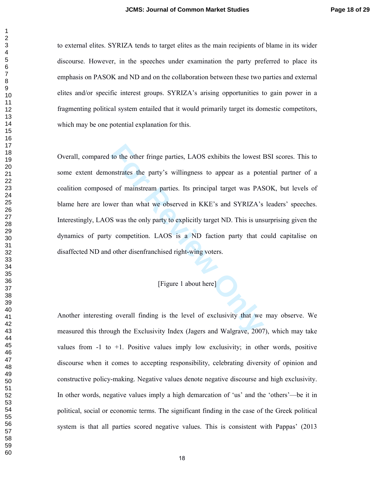to external elites. SYRIZA tends to target elites as the main recipients of blame in its wider discourse. However, in the speeches under examination the party preferred to place its emphasis on PASOK and ND and on the collaboration between these two parties and external elites and/or specific interest groups. SYRIZA's arising opportunities to gain power in a fragmenting political system entailed that it would primarily target its domestic competitors, which may be one potential explanation for this.

to the other fringe parties, LAOS exhibits the lowest l<br>nnstrates the party's willingness to appear as a pote<br>d of mainstream parties. Its principal target was PAS<br>wer than what we observed in KKE's and SYRIZA's<br>S was the Overall, compared to the other fringe parties, LAOS exhibits the lowest BSI scores. This to some extent demonstrates the party's willingness to appear as a potential partner of a coalition composed of mainstream parties. Its principal target was PASOK, but levels of blame here are lower than what we observed in KKE's and SYRIZA's leaders' speeches. Interestingly, LAOS was the only party to explicitly target ND. This is unsurprising given the dynamics of party competition. LAOS is a ND faction party that could capitalise on disaffected ND and other disenfranchised right-wing voters.

# [Figure 1 about here]

Another interesting overall finding is the level of exclusivity that we may observe. We measured this through the Exclusivity Index (Jagers and Walgrave, 2007), which may take values from  $-1$  to  $+1$ . Positive values imply low exclusivity; in other words, positive discourse when it comes to accepting responsibility, celebrating diversity of opinion and constructive policy-making. Negative values denote negative discourse and high exclusivity. In other words, negative values imply a high demarcation of 'us' and the 'others'—be it in political, social or economic terms. The significant finding in the case of the Greek political system is that all parties scored negative values. This is consistent with Pappas' (2013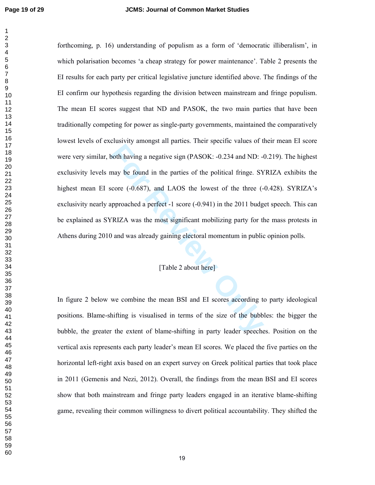both having a negative sign (PASOK: -0.234 and ND: -1<br>
may be found in the parties of the political fringe. SY<br>
score (-0.687), and LAOS the lowest of the three (-<br>
ppproached a perfect -1 score (-0.941) in the 2011 budg<br> forthcoming, p. 16) understanding of populism as a form of 'democratic illiberalism', in which polarisation becomes 'a cheap strategy for power maintenance'. Table 2 presents the EI results for each party per critical legislative juncture identified above. The findings of the EI confirm our hypothesis regarding the division between mainstream and fringe populism. The mean EI scores suggest that ND and PASOK, the two main parties that have been traditionally competing for power as single-party governments, maintained the comparatively lowest levels of exclusivity amongst all parties. Their specific values of their mean EI score were very similar, both having a negative sign (PASOK: -0.234 and ND: -0.219). The highest exclusivity levels may be found in the parties of the political fringe. SYRIZA exhibits the highest mean EI score (-0.687), and LAOS the lowest of the three (-0.428). SYRIZA's exclusivity nearly approached a perfect -1 score (-0.941) in the 2011 budget speech. This can be explained as SYRIZA was the most significant mobilizing party for the mass protests in Athens during 2010 and was already gaining electoral momentum in public opinion polls.

# [Table 2 about here]

In figure 2 below we combine the mean BSI and EI scores according to party ideological positions. Blame-shifting is visualised in terms of the size of the bubbles: the bigger the bubble, the greater the extent of blame-shifting in party leader speeches. Position on the vertical axis represents each party leader's mean EI scores. We placed the five parties on the horizontal left-right axis based on an expert survey on Greek political parties that took place in 2011 (Gemenis and Nezi, 2012). Overall, the findings from the mean BSI and EI scores show that both mainstream and fringe party leaders engaged in an iterative blame-shifting game, revealing their common willingness to divert political accountability. They shifted the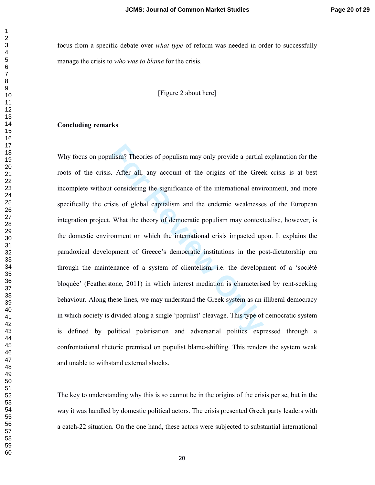focus from a specific debate over *what type* of reform was needed in order to successfully manage the crisis to *who was to blame* for the crisis.

[Figure 2 about here]

#### **Concluding remarks**

Ilism? Theories of populism may only provide a partial<br>
Formal A. After all, any account of the origins of the Gree<br> **Exercit considering the significance of the international envirting**<br>
Formal Expedition and the endemic Why focus on populism? Theories of populism may only provide a partial explanation for the roots of the crisis. After all, any account of the origins of the Greek crisis is at best incomplete without considering the significance of the international environment, and more specifically the crisis of global capitalism and the endemic weaknesses of the European integration project. What the theory of democratic populism may contextualise, however, is the domestic environment on which the international crisis impacted upon. It explains the paradoxical development of Greece's democratic institutions in the post-dictatorship era through the maintenance of a system of clientelism, i.e. the development of a 'société bloquée' (Featherstone, 2011) in which interest mediation is characterised by rent-seeking behaviour. Along these lines, we may understand the Greek system as an illiberal democracy in which society is divided along a single 'populist' cleavage. This type of democratic system is defined by political polarisation and adversarial politics expressed through a confrontational rhetoric premised on populist blame-shifting. This renders the system weak and unable to withstand external shocks.

The key to understanding why this is so cannot be in the origins of the crisis per se, but in the way it was handled by domestic political actors. The crisis presented Greek party leaders with a catch-22 situation. On the one hand, these actors were subjected to substantial international

 $\mathbf{1}$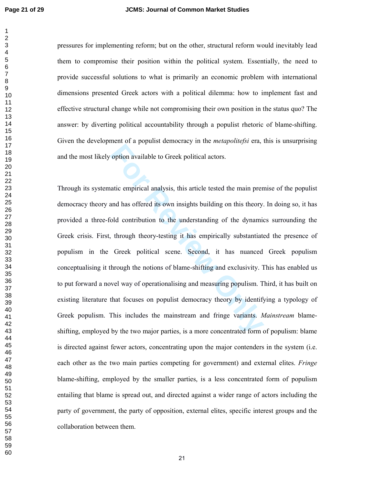pressures for implementing reform; but on the other, structural reform would inevitably lead them to compromise their position within the political system. Essentially, the need to provide successful solutions to what is primarily an economic problem with international dimensions presented Greek actors with a political dilemma: how to implement fast and effective structural change while not compromising their own position in the status quo? The answer: by diverting political accountability through a populist rhetoric of blame-shifting. Given the development of a populist democracy in the *metapolitefsi* era, this is unsurprising and the most likely option available to Greek political actors.

option available to Greek political actors.<br>attic empirical analysis, this article tested the main pren<br>and has offered its own insights building on this theory.<br>bold contribution to the understanding of the dynamic<br>throug Through its systematic empirical analysis, this article tested the main premise of the populist democracy theory and has offered its own insights building on this theory. In doing so, it has provided a three-fold contribution to the understanding of the dynamics surrounding the Greek crisis. First, through theory-testing it has empirically substantiated the presence of populism in the Greek political scene. Second, it has nuanced Greek populism conceptualising it through the notions of blame-shifting and exclusivity. This has enabled us to put forward a novel way of operationalising and measuring populism. Third, it has built on existing literature that focuses on populist democracy theory by identifying a typology of Greek populism. This includes the mainstream and fringe variants. *Mainstream* blameshifting, employed by the two major parties, is a more concentrated form of populism: blame is directed against fewer actors, concentrating upon the major contenders in the system (i.e. each other as the two main parties competing for government) and external elites. *Fringe* blame-shifting, employed by the smaller parties, is a less concentrated form of populism entailing that blame is spread out, and directed against a wider range of actors including the party of government, the party of opposition, external elites, specific interest groups and the collaboration between them.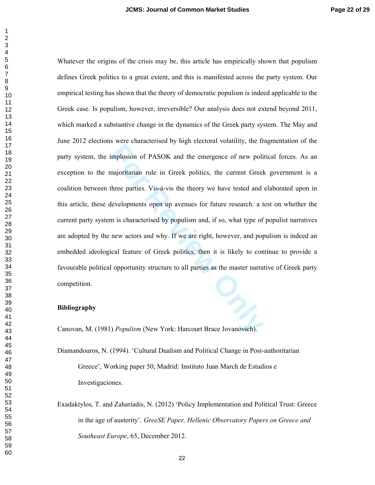implosion of PASOK and the emergence of new poli<br>majoritarian rule in Greek politics, the current Greel<br>three parties. Vis-à-vis the theory we have tested and<br>levelopments open up avenues for future research: a t<br>m is char Whatever the origins of the crisis may be, this article has empirically shown that populism defines Greek politics to a great extent, and this is manifested across the party system. Our empirical testing has shown that the theory of democratic populism is indeed applicable to the Greek case. Is populism, however, irreversible? Our analysis does not extend beyond 2011, which marked a substantive change in the dynamics of the Greek party system. The May and June 2012 elections were characterised by high electoral volatility, the fragmentation of the party system, the implosion of PASOK and the emergence of new political forces. As an exception to the majoritarian rule in Greek politics, the current Greek government is a coalition between three parties. Vis-à-vis the theory we have tested and elaborated upon in this article, these developments open up avenues for future research: a test on whether the current party system is characterised by populism and, if so, what type of populist narratives are adopted by the new actors and why. If we are right, however, and populism is indeed an embedded ideological feature of Greek politics, then it is likely to continue to provide a favourable political opportunity structure to all parties as the master narrative of Greek party competition.

### **Bibliography**

Canovan, M. (1981) *Populism* (New York: Harcourt Brace Jovanovich).

- Diamandouros, N. (1994). 'Cultural Dualism and Political Change in Post-authoritarian Greece', Working paper 50, Madrid: Instituto Juan March de Estudios e Investigaciones.
- Exadaktylos, T. and Zahariadis, N. (2012) 'Policy Implementation and Political Trust: Greece in the age of austerity'. *GreeSE Paper, Hellenic Observatory Papers on Greece and Southeast Europe*, 65, December 2012.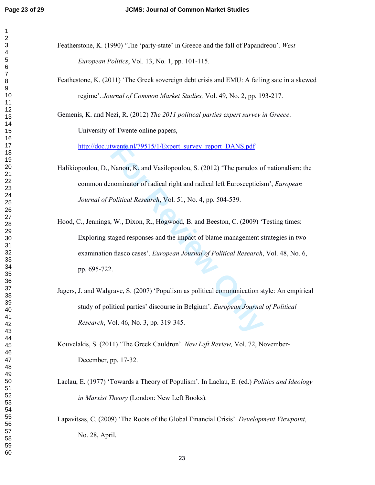- Featherstone, K. (1990) 'The 'party-state' in Greece and the fall of Papandreou'. *West European Politics*, Vol. 13, No. 1, pp. 101-115.
- Feathestone, K. (2011) 'The Greek sovereign debt crisis and EMU: A failing sate in a skewed regime'. *Journal of Common Market Studies,* Vol. 49, No. 2, pp. 193-217.

Gemenis, K. and Nezi, R. (2012) *The 2011 political parties expert survey in Greece*. University of Twente online papers,

http://doc.utwente.nl/79515/1/Expert\_survey\_report\_DANS.pdf

- Halikiopoulou, D., Nanou, K. and Vasilopoulou, S. (2012) 'The paradox of nationalism: the common denominator of radical right and radical left Euroscepticism', *European Journal of Political Research*, Vol. 51, No. 4, pp. 504-539.
- twente.nl/79515/1/Expert\_survey\_report\_DANS.pdf<br>
Nanou, K. and Vasilopoulou, S. (2012) 'The paradox or<br>
nominator of radical right and radical left Euroscepticis<br>
Political Research, Vol. 51, No. 4, pp. 504-539.<br>
W., Dixon Hood, C., Jennings, W., Dixon, R., Hogwood, B. and Beeston, C. (2009) 'Testing times: Exploring staged responses and the impact of blame management strategies in two examination fiasco cases'. *European Journal of Political Research*, Vol. 48, No. 6, pp. 695-722.
- Jagers, J. and Walgrave, S. (2007) 'Populism as political communication style: An empirical study of political parties' discourse in Belgium'. *European Journal of Political Research*, Vol. 46, No. 3, pp. 319-345.
- Kouvelakis, S. (2011) 'The Greek Cauldron'. *New Left Review,* Vol. 72, November-December, pp. 17-32.
- Laclau, E. (1977) 'Towards a Theory of Populism'. In Laclau, E. (ed.) *Politics and Ideology in Marxist Theory* (London: New Left Books).
- Lapavitsas, C. (2009) 'The Roots of the Global Financial Crisis'. *Development Viewpoint*, No. 28, April.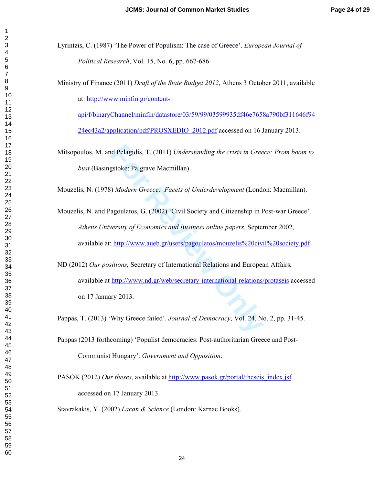Lyrintzis, C. (1987) 'The Power of Populism: The case of Greece'. *European Journal of Political Research*, Vol. 15, No. 6, pp. 667-686.

Ministry of Finance (2011) *Draft of the State Budget 2012*, Athens 3 October 2011, available

at: http://www.minfin.gr/content-

api/f/binaryChannel/minfin/datastore/03/59/99/03599935df46e7658a790bf311646f94 24ec43a2/application/pdf/PROSXEDIO\_2012.pdf accessed on 16 January 2013.

Mitsopoulos, M. and Pelagidis, T. (2011) *Understanding the crisis in Greece: From boom to bust* (Basingstoke: Palgrave Macmillan).

Mouzelis, N. (1978) *Modern Greece: Facets of Underdevelopment* (London: Macmillan).

- read Pelagidis, T. (2011) Understanding the crisis in Greenubles extoke: Palgrave Macmillan).<br>
For Palgrave Macmillan and Dustries of Underdevelopment (London<br>
agoulatos, G. (2002) 'Civil Society and Citizenship in Peresti Mouzelis, N. and Pagoulatos, G. (2002) 'Civil Society and Citizenship in Post-war Greece'. *Athens University of Economics and Business online papers*, September 2002, available at: http://www.aueb.gr/users/pagoulatos/mouzelis%20civil%20society.pdf
- ND (2012) *Our positions*, Secretary of International Relations and European Affairs, available at http://www.nd.gr/web/secretary-international-relations/protaseis accessed on 17 January 2013.

Pappas, T. (2013) 'Why Greece failed'. *Journal of Democracy*, Vol. 24, No. 2, pp. 31-45.

- Pappas (2013 forthcoming) 'Populist democracies: Post-authoritarian Greece and Post-Communist Hungary'. *Government and Opposition*.
- PASOK (2012) *Our theses*, available at http://www.pasok.gr/portal/theseis\_index.jsf accessed on 17 January 2013.

Stavrakakis, Y. (2002) *Lacan & Science* (London: Karnac Books).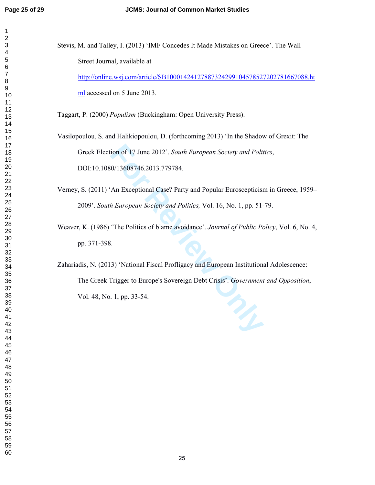$\mathbf{1}$  $\overline{2}$  $\overline{\mathbf{4}}$  $\overline{5}$  $\,6$  $\boldsymbol{7}$  $\bf 8$  $\boldsymbol{9}$ 

| $\overline{\mathbf{c}}$<br>3 | Stevis, M. and Talley, I. (2013) 'IMF Concedes It Made Mistakes on Greece'. The Wall          |
|------------------------------|-----------------------------------------------------------------------------------------------|
| 4<br>5<br>6                  | Street Journal, available at                                                                  |
| $\overline{7}$<br>8          | http://online.wsj.com/article/SB10001424127887324299104578527202781667088.ht                  |
| 9<br>10                      | ml accessed on 5 June 2013.                                                                   |
| 11<br>12<br>13<br>14         | Taggart, P. (2000) Populism (Buckingham: Open University Press).                              |
| 15<br>16                     | Vasilopoulou, S. and Halikiopoulou, D. (forthcoming 2013) 'In the Shadow of Grexit: The       |
| 17<br>18<br>19               | Greek Election of 17 June 2012'. South European Society and Politics,                         |
| 20<br>21                     | DOI:10.1080/13608746.2013.779784.                                                             |
| 22<br>23<br>24               | Verney, S. (2011) 'An Exceptional Case? Party and Popular Euroscepticism in Greece, 1959–     |
| 25<br>26                     | 2009'. South European Society and Politics, Vol. 16, No. 1, pp. 51-79.                        |
| 27<br>28<br>29               | Weaver, K. (1986) 'The Politics of blame avoidance'. Journal of Public Policy, Vol. 6, No. 4, |
| 30<br>31                     | pp. 371-398.                                                                                  |
| 32<br>33<br>34               | Zahariadis, N. (2013) 'National Fiscal Profligacy and European Institutional Adolescence:     |
| 35<br>36                     | The Greek Trigger to Europe's Sovereign Debt Crisis'. Government and Opposition,              |
| 37<br>38<br>39               | Vol. 48, No. 1, pp. 33-54.                                                                    |
| 40<br>41<br>42               |                                                                                               |
| 43<br>44                     |                                                                                               |
| 45<br>46<br>47               |                                                                                               |
| 48<br>49                     |                                                                                               |
| 50<br>51                     |                                                                                               |
| 52<br>53<br>54               |                                                                                               |
| 55<br>56                     |                                                                                               |
| 57<br>58                     |                                                                                               |
| 59<br>60                     | 25                                                                                            |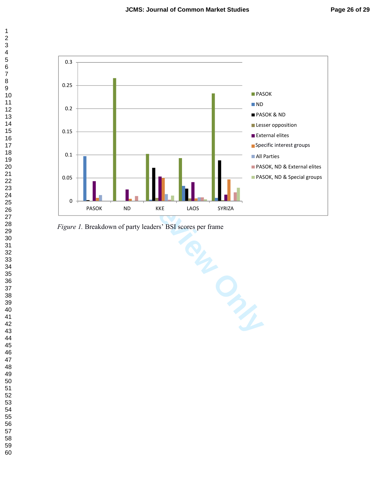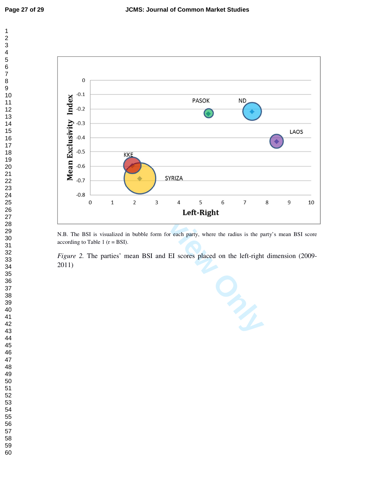$\mathbf 1$ 



N.B. The BSI is visualized in bubble form for each party, where the radius is the party's mean BSI score according to Table 1 ( $r = BSI$ ).

*Figure 2.* The parties' mean BSI and EI scores placed on the left-right dimension (2009-2011)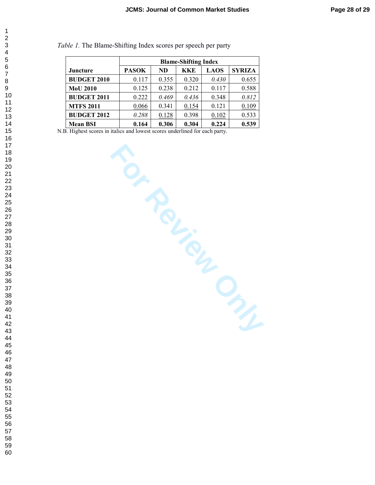|                    | <b>Blame-Shifting Index</b> |           |            |             |               |  |
|--------------------|-----------------------------|-----------|------------|-------------|---------------|--|
| Juncture           | <b>PASOK</b>                | <b>ND</b> | <b>KKE</b> | <b>LAOS</b> | <b>SYRIZA</b> |  |
| <b>BUDGET 2010</b> | 0.117                       | 0.355     | 0.320      | 0.430       | 0.655         |  |
| <b>MoU 2010</b>    | 0.125                       | 0.238     | 0.212      | 0.117       | 0.588         |  |
| <b>BUDGET 2011</b> | 0.222                       | 0.469     | 0.436      | 0.348       | 0.812         |  |
| <b>MTFS 2011</b>   | 0.066                       | 0.341     | 0.154      | 0.121       | 0.109         |  |
| <b>BUDGET 2012</b> | 0.288                       | 0.128     | 0.398      | 0.102       | 0.533         |  |
| <b>Mean BSI</b>    | 0.164                       | 0.306     | 0.304      | 0.224       | 0.539         |  |

*Table 1.* The Blame-Shifting Index scores per speech per party

N.B. Highest scores in italics and lowest scores underlined for each party.

 $\overline{2}$